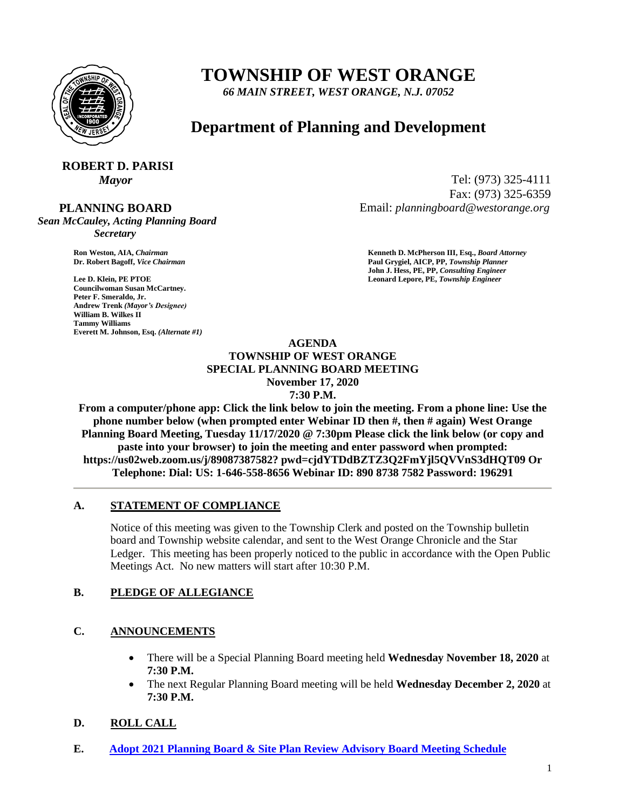

## **TOWNSHIP OF WEST ORANGE**

*66 MAIN STREET, WEST ORANGE, N.J. 07052*

### **Department of Planning and Development**

# **ROBERT D. PARISI**

 **PLANNING BOARD**

*Sean McCauley, Acting Planning Board Secretary*

**Councilwoman Susan McCartney. Peter F. Smeraldo, Jr. Andrew Trenk** *(Mayor's Designee)* **William B. Wilkes II Tammy Williams Everett M. Johnson, Esq.** *(Alternate #1)*

*Mayor* Tel: (973) 325-4111 Fax: (973) 325-6359 Email: *planningboard@westorange.org*

**Ron Weston, AIA,** *Chairman* **<b>Kenneth D. McPherson III, Esq.,** *Board Attorney* **Criminal Community Community Community Community Community Community Community Community Community Community Community Community Community Co Dr. Robert Bagoff,** *Vice Chairman* **Paul Grygiel, AICP, PP,** *Township Planner* **John J. Hess, PE, PP,** *Consulting Engineer* **Lee D. Klein, PE PTOE Leonard Lepore, PE,** *Township Engineer*

#### **AGENDA TOWNSHIP OF WEST ORANGE SPECIAL PLANNING BOARD MEETING November 17, 2020 7:30 P.M.**

**From a computer/phone app: Click the link below to join the meeting. From a phone line: Use the phone number below (when prompted enter Webinar ID then #, then # again) West Orange Planning Board Meeting, Tuesday 11/17/2020 @ 7:30pm Please click the link below (or copy and paste into your browser) to join the meeting and enter password when prompted: https://us02web.zoom.us/j/89087387582? pwd=cjdYTDdBZTZ3Q2FmYjl5QVVnS3dHQT09 Or Telephone: Dial: US: 1-646-558-8656 Webinar ID: 890 8738 7582 Password: 196291**

#### **A. STATEMENT OF COMPLIANCE**

Notice of this meeting was given to the Township Clerk and posted on the Township bulletin board and Township website calendar, and sent to the West Orange Chronicle and the Star Ledger. This meeting has been properly noticed to the public in accordance with the Open Public Meetings Act. No new matters will start after 10:30 P.M.

#### **B. PLEDGE OF ALLEGIANCE**

#### **C. ANNOUNCEMENTS**

- There will be a Special Planning Board meeting held **Wednesday November 18, 2020** at **7:30 P.M.**
- The next Regular Planning Board meeting will be held **Wednesday December 2, 2020** at **7:30 P.M.**

#### **D. ROLL CALL**

**E. [Adopt 2021 Planning Board & Site Plan Review Advisory](https://www.westorange.org/DocumentCenter/View/7304/2021-PB-SPRAB-Meetings) Board Meeting Schedule**